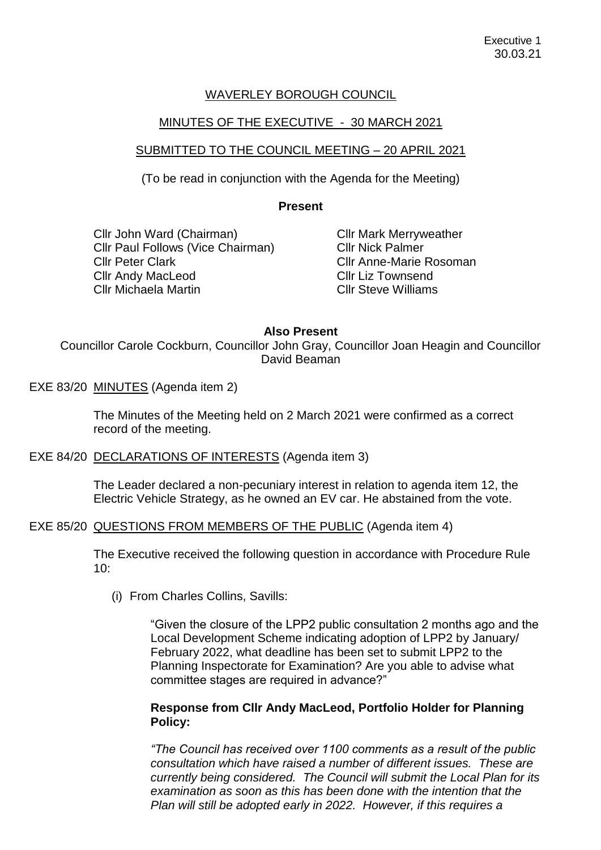## WAVERLEY BOROUGH COUNCIL

## MINUTES OF THE EXECUTIVE - 30 MARCH 2021

## SUBMITTED TO THE COUNCIL MEETING – 20 APRIL 2021

(To be read in conjunction with the Agenda for the Meeting)

#### **Present**

Cllr John Ward (Chairman) Cllr Paul Follows (Vice Chairman) Cllr Peter Clark Cllr Andy MacLeod Cllr Michaela Martin

Cllr Mark Merryweather Cllr Nick Palmer Cllr Anne-Marie Rosoman Cllr Liz Townsend Cllr Steve Williams

#### **Also Present**

Councillor Carole Cockburn, Councillor John Gray, Councillor Joan Heagin and Councillor David Beaman

EXE 83/20 MINUTES (Agenda item 2)

The Minutes of the Meeting held on 2 March 2021 were confirmed as a correct record of the meeting.

#### EXE 84/20 DECLARATIONS OF INTERESTS (Agenda item 3)

The Leader declared a non-pecuniary interest in relation to agenda item 12, the Electric Vehicle Strategy, as he owned an EV car. He abstained from the vote.

#### EXE 85/20 QUESTIONS FROM MEMBERS OF THE PUBLIC (Agenda item 4)

The Executive received the following question in accordance with Procedure Rule 10:

(i) From Charles Collins, Savills:

"Given the closure of the LPP2 public consultation 2 months ago and the Local Development Scheme indicating adoption of LPP2 by January/ February 2022, what deadline has been set to submit LPP2 to the Planning Inspectorate for Examination? Are you able to advise what committee stages are required in advance?"

#### **Response from Cllr Andy MacLeod, Portfolio Holder for Planning Policy:**

*"The Council has received over 1100 comments as a result of the public consultation which have raised a number of different issues. These are currently being considered. The Council will submit the Local Plan for its examination as soon as this has been done with the intention that the Plan will still be adopted early in 2022. However, if this requires a*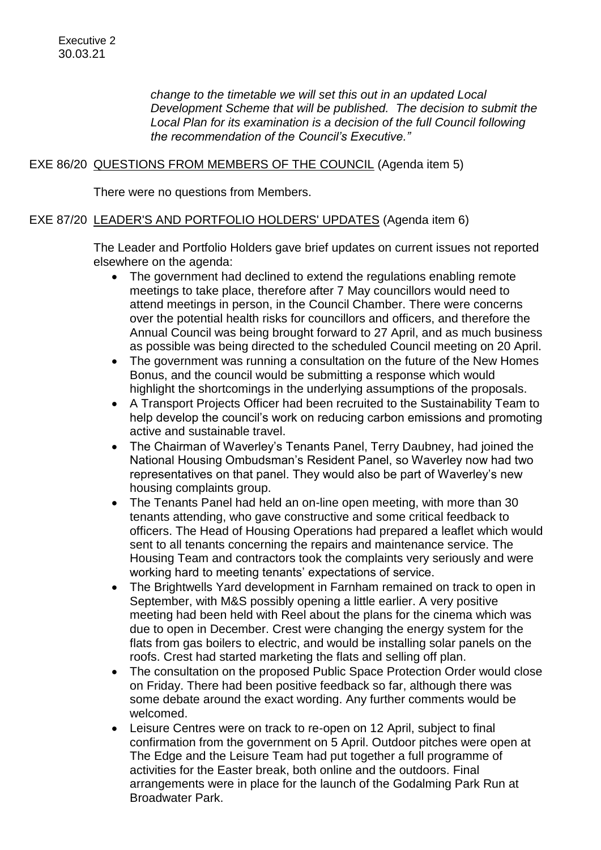*change to the timetable we will set this out in an updated Local Development Scheme that will be published. The decision to submit the Local Plan for its examination is a decision of the full Council following the recommendation of the Council's Executive."*

## EXE 86/20 QUESTIONS FROM MEMBERS OF THE COUNCIL (Agenda item 5)

There were no questions from Members.

# EXE 87/20 LEADER'S AND PORTFOLIO HOLDERS' UPDATES (Agenda item 6)

The Leader and Portfolio Holders gave brief updates on current issues not reported elsewhere on the agenda:

- The government had declined to extend the regulations enabling remote meetings to take place, therefore after 7 May councillors would need to attend meetings in person, in the Council Chamber. There were concerns over the potential health risks for councillors and officers, and therefore the Annual Council was being brought forward to 27 April, and as much business as possible was being directed to the scheduled Council meeting on 20 April.
- The government was running a consultation on the future of the New Homes Bonus, and the council would be submitting a response which would highlight the shortcomings in the underlying assumptions of the proposals.
- A Transport Projects Officer had been recruited to the Sustainability Team to help develop the council's work on reducing carbon emissions and promoting active and sustainable travel.
- The Chairman of Waverley's Tenants Panel, Terry Daubney, had joined the National Housing Ombudsman's Resident Panel, so Waverley now had two representatives on that panel. They would also be part of Waverley's new housing complaints group.
- The Tenants Panel had held an on-line open meeting, with more than 30 tenants attending, who gave constructive and some critical feedback to officers. The Head of Housing Operations had prepared a leaflet which would sent to all tenants concerning the repairs and maintenance service. The Housing Team and contractors took the complaints very seriously and were working hard to meeting tenants' expectations of service.
- The Brightwells Yard development in Farnham remained on track to open in September, with M&S possibly opening a little earlier. A very positive meeting had been held with Reel about the plans for the cinema which was due to open in December. Crest were changing the energy system for the flats from gas boilers to electric, and would be installing solar panels on the roofs. Crest had started marketing the flats and selling off plan.
- The consultation on the proposed Public Space Protection Order would close on Friday. There had been positive feedback so far, although there was some debate around the exact wording. Any further comments would be welcomed.
- Leisure Centres were on track to re-open on 12 April, subject to final confirmation from the government on 5 April. Outdoor pitches were open at The Edge and the Leisure Team had put together a full programme of activities for the Easter break, both online and the outdoors. Final arrangements were in place for the launch of the Godalming Park Run at Broadwater Park.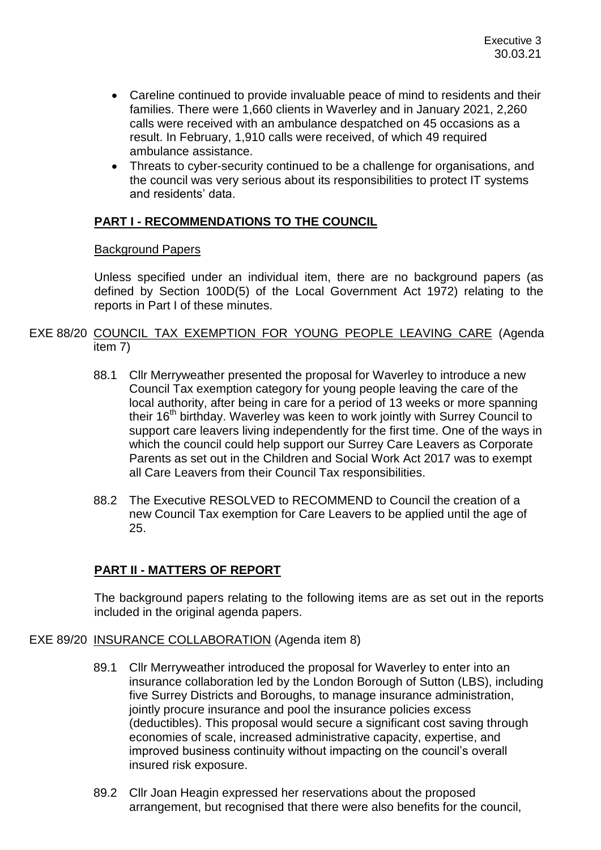- Careline continued to provide invaluable peace of mind to residents and their families. There were 1,660 clients in Waverley and in January 2021, 2,260 calls were received with an ambulance despatched on 45 occasions as a result. In February, 1,910 calls were received, of which 49 required ambulance assistance.
- Threats to cyber-security continued to be a challenge for organisations, and the council was very serious about its responsibilities to protect IT systems and residents' data.

# **PART I - RECOMMENDATIONS TO THE COUNCIL**

#### Background Papers

Unless specified under an individual item, there are no background papers (as defined by Section 100D(5) of the Local Government Act 1972) relating to the reports in Part I of these minutes.

## EXE 88/20 COUNCIL TAX EXEMPTION FOR YOUNG PEOPLE LEAVING CARE (Agenda item 7)

- 88.1 Cllr Merryweather presented the proposal for Waverley to introduce a new Council Tax exemption category for young people leaving the care of the local authority, after being in care for a period of 13 weeks or more spanning their 16<sup>th</sup> birthday. Waverley was keen to work jointly with Surrey Council to support care leavers living independently for the first time. One of the ways in which the council could help support our Surrey Care Leavers as Corporate Parents as set out in the Children and Social Work Act 2017 was to exempt all Care Leavers from their Council Tax responsibilities.
- 88.2 The Executive RESOLVED to RECOMMEND to Council the creation of a new Council Tax exemption for Care Leavers to be applied until the age of 25.

# **PART II - MATTERS OF REPORT**

The background papers relating to the following items are as set out in the reports included in the original agenda papers.

#### EXE 89/20 INSURANCE COLLABORATION (Agenda item 8)

- 89.1 Cllr Merryweather introduced the proposal for Waverley to enter into an insurance collaboration led by the London Borough of Sutton (LBS), including five Surrey Districts and Boroughs, to manage insurance administration, jointly procure insurance and pool the insurance policies excess (deductibles). This proposal would secure a significant cost saving through economies of scale, increased administrative capacity, expertise, and improved business continuity without impacting on the council's overall insured risk exposure.
- 89.2 Cllr Joan Heagin expressed her reservations about the proposed arrangement, but recognised that there were also benefits for the council,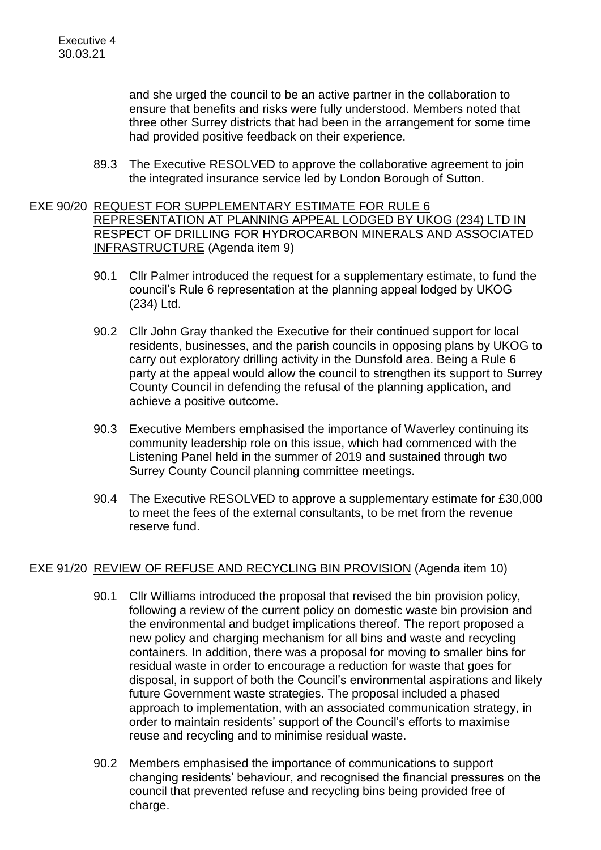and she urged the council to be an active partner in the collaboration to ensure that benefits and risks were fully understood. Members noted that three other Surrey districts that had been in the arrangement for some time had provided positive feedback on their experience.

89.3 The Executive RESOLVED to approve the collaborative agreement to join the integrated insurance service led by London Borough of Sutton.

## EXE 90/20 REQUEST FOR SUPPLEMENTARY ESTIMATE FOR RULE 6 REPRESENTATION AT PLANNING APPEAL LODGED BY UKOG (234) LTD IN RESPECT OF DRILLING FOR HYDROCARBON MINERALS AND ASSOCIATED INFRASTRUCTURE (Agenda item 9)

- 90.1 Cllr Palmer introduced the request for a supplementary estimate, to fund the council's Rule 6 representation at the planning appeal lodged by UKOG (234) Ltd.
- 90.2 Cllr John Gray thanked the Executive for their continued support for local residents, businesses, and the parish councils in opposing plans by UKOG to carry out exploratory drilling activity in the Dunsfold area. Being a Rule 6 party at the appeal would allow the council to strengthen its support to Surrey County Council in defending the refusal of the planning application, and achieve a positive outcome.
- 90.3 Executive Members emphasised the importance of Waverley continuing its community leadership role on this issue, which had commenced with the Listening Panel held in the summer of 2019 and sustained through two Surrey County Council planning committee meetings.
- 90.4 The Executive RESOLVED to approve a supplementary estimate for £30,000 to meet the fees of the external consultants, to be met from the revenue reserve fund.

## EXE 91/20 REVIEW OF REFUSE AND RECYCLING BIN PROVISION (Agenda item 10)

- 90.1 Cllr Williams introduced the proposal that revised the bin provision policy, following a review of the current policy on domestic waste bin provision and the environmental and budget implications thereof. The report proposed a new policy and charging mechanism for all bins and waste and recycling containers. In addition, there was a proposal for moving to smaller bins for residual waste in order to encourage a reduction for waste that goes for disposal, in support of both the Council's environmental aspirations and likely future Government waste strategies. The proposal included a phased approach to implementation, with an associated communication strategy, in order to maintain residents' support of the Council's efforts to maximise reuse and recycling and to minimise residual waste.
- 90.2 Members emphasised the importance of communications to support changing residents' behaviour, and recognised the financial pressures on the council that prevented refuse and recycling bins being provided free of charge.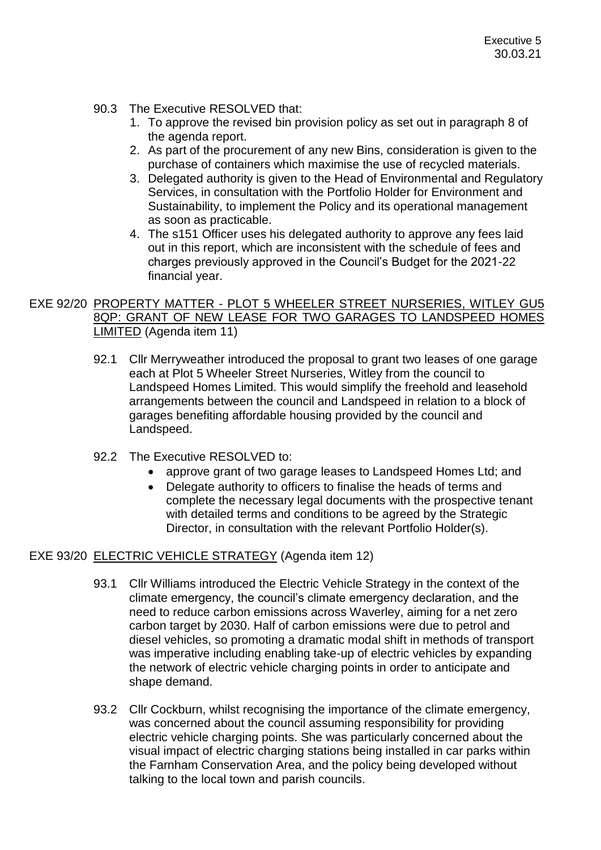## 90.3 The Executive RESOLVED that:

- 1. To approve the revised bin provision policy as set out in paragraph 8 of the agenda report.
- 2. As part of the procurement of any new Bins, consideration is given to the purchase of containers which maximise the use of recycled materials.
- 3. Delegated authority is given to the Head of Environmental and Regulatory Services, in consultation with the Portfolio Holder for Environment and Sustainability, to implement the Policy and its operational management as soon as practicable.
- 4. The s151 Officer uses his delegated authority to approve any fees laid out in this report, which are inconsistent with the schedule of fees and charges previously approved in the Council's Budget for the 2021-22 financial year.

# EXE 92/20 PROPERTY MATTER - PLOT 5 WHEELER STREET NURSERIES, WITLEY GU5 8QP: GRANT OF NEW LEASE FOR TWO GARAGES TO LANDSPEED HOMES LIMITED (Agenda item 11)

- 92.1 Cllr Merryweather introduced the proposal to grant two leases of one garage each at Plot 5 Wheeler Street Nurseries, Witley from the council to Landspeed Homes Limited. This would simplify the freehold and leasehold arrangements between the council and Landspeed in relation to a block of garages benefiting affordable housing provided by the council and Landspeed.
- 92.2 The Executive RESOLVED to:
	- approve grant of two garage leases to Landspeed Homes Ltd; and
	- Delegate authority to officers to finalise the heads of terms and complete the necessary legal documents with the prospective tenant with detailed terms and conditions to be agreed by the Strategic Director, in consultation with the relevant Portfolio Holder(s).

# EXE 93/20 ELECTRIC VEHICLE STRATEGY (Agenda item 12)

- 93.1 Cllr Williams introduced the Electric Vehicle Strategy in the context of the climate emergency, the council's climate emergency declaration, and the need to reduce carbon emissions across Waverley, aiming for a net zero carbon target by 2030. Half of carbon emissions were due to petrol and diesel vehicles, so promoting a dramatic modal shift in methods of transport was imperative including enabling take-up of electric vehicles by expanding the network of electric vehicle charging points in order to anticipate and shape demand.
- 93.2 Cllr Cockburn, whilst recognising the importance of the climate emergency, was concerned about the council assuming responsibility for providing electric vehicle charging points. She was particularly concerned about the visual impact of electric charging stations being installed in car parks within the Farnham Conservation Area, and the policy being developed without talking to the local town and parish councils.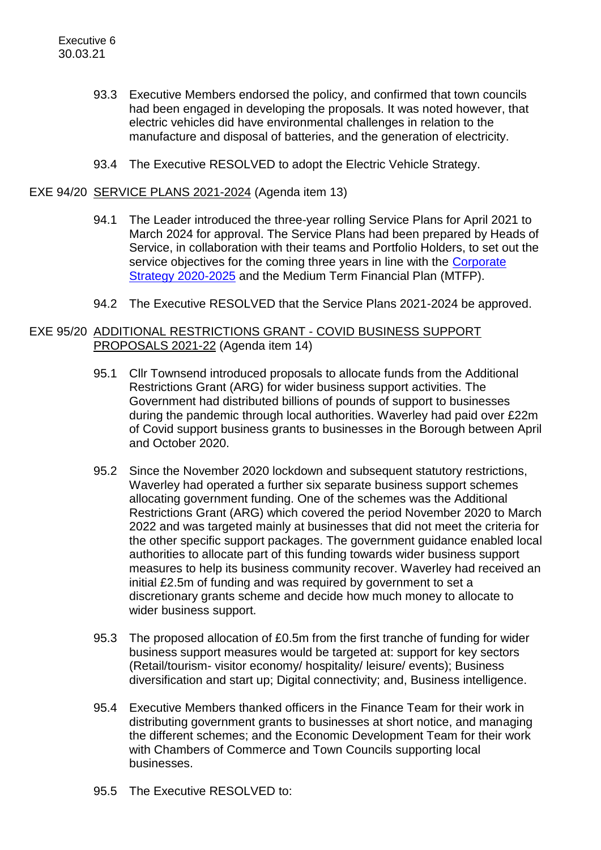- 93.3 Executive Members endorsed the policy, and confirmed that town councils had been engaged in developing the proposals. It was noted however, that electric vehicles did have environmental challenges in relation to the manufacture and disposal of batteries, and the generation of electricity.
- 93.4 The Executive RESOLVED to adopt the Electric Vehicle Strategy.

#### EXE 94/20 SERVICE PLANS 2021-2024 (Agenda item 13)

- 94.1 The Leader introduced the three-year rolling Service Plans for April 2021 to March 2024 for approval. The Service Plans had been prepared by Heads of Service, in collaboration with their teams and Portfolio Holders, to set out the service objectives for the coming three years in line with the Corporate [Strategy 2020-2025](https://www.waverley.gov.uk/Services/Council-information/About-Waverley-Borough-Council/Corporate-Strategy-2020-25) and the Medium Term Financial Plan (MTFP).
- 94.2 The Executive RESOLVED that the Service Plans 2021-2024 be approved.

## EXE 95/20 ADDITIONAL RESTRICTIONS GRANT - COVID BUSINESS SUPPORT PROPOSALS 2021-22 (Agenda item 14)

- 95.1 Cllr Townsend introduced proposals to allocate funds from the Additional Restrictions Grant (ARG) for wider business support activities. The Government had distributed billions of pounds of support to businesses during the pandemic through local authorities. Waverley had paid over £22m of Covid support business grants to businesses in the Borough between April and October 2020.
- 95.2 Since the November 2020 lockdown and subsequent statutory restrictions, Waverley had operated a further six separate business support schemes allocating government funding. One of the schemes was the Additional Restrictions Grant (ARG) which covered the period November 2020 to March 2022 and was targeted mainly at businesses that did not meet the criteria for the other specific support packages. The government guidance enabled local authorities to allocate part of this funding towards wider business support measures to help its business community recover. Waverley had received an initial £2.5m of funding and was required by government to set a discretionary grants scheme and decide how much money to allocate to wider business support.
- 95.3 The proposed allocation of £0.5m from the first tranche of funding for wider business support measures would be targeted at: support for key sectors (Retail/tourism- visitor economy/ hospitality/ leisure/ events); Business diversification and start up; Digital connectivity; and, Business intelligence.
- 95.4 Executive Members thanked officers in the Finance Team for their work in distributing government grants to businesses at short notice, and managing the different schemes; and the Economic Development Team for their work with Chambers of Commerce and Town Councils supporting local businesses.
- 95.5 The Executive RESOLVED to: